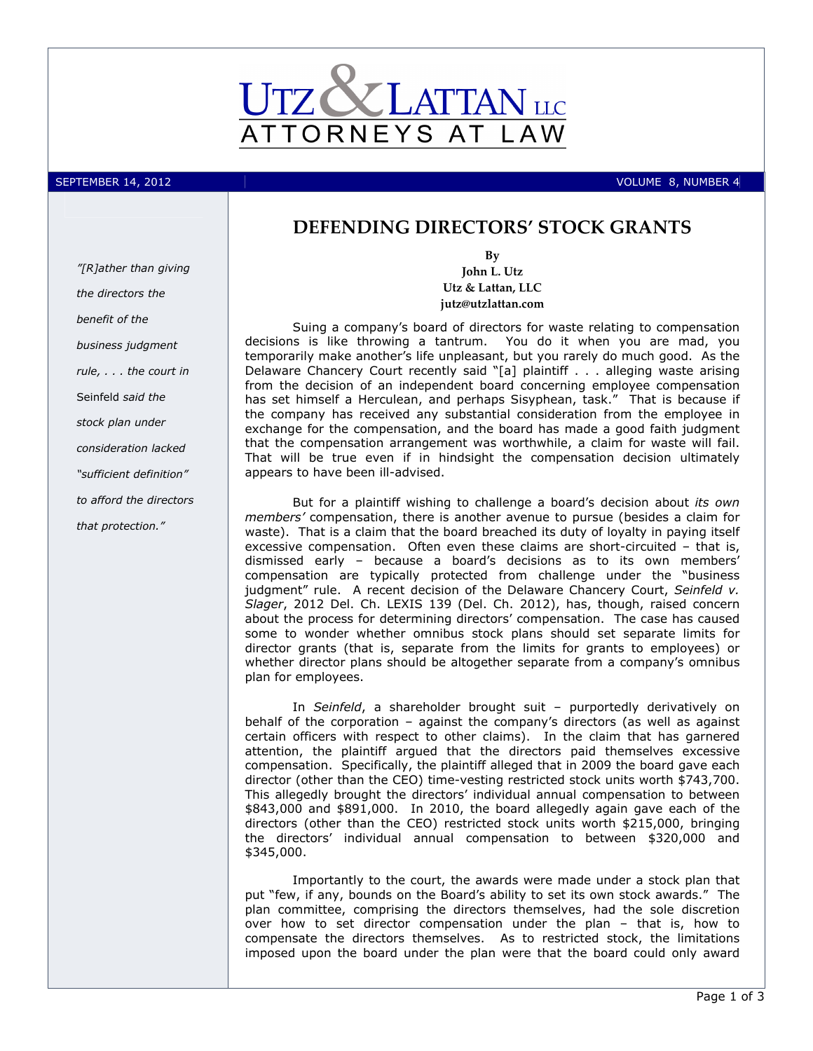

SEPTEMBER 14, 2012 VOLUME 8, NUMBER 4

# DEFENDING DIRECTORS' STOCK GRANTS

"[R]ather than giving the directors the benefit of the business judgment rule, . . . the court in Seinfeld said the stock plan under consideration lacked "sufficient definition" to afford the directors that protection."

By John L. Utz Utz & Lattan, LLC jutz@utzlattan.com

Suing a company's board of directors for waste relating to compensation decisions is like throwing a tantrum. You do it when you are mad, you temporarily make another's life unpleasant, but you rarely do much good. As the Delaware Chancery Court recently said "[a] plaintiff . . . alleging waste arising from the decision of an independent board concerning employee compensation has set himself a Herculean, and perhaps Sisyphean, task." That is because if the company has received any substantial consideration from the employee in exchange for the compensation, and the board has made a good faith judgment that the compensation arrangement was worthwhile, a claim for waste will fail. That will be true even if in hindsight the compensation decision ultimately appears to have been ill-advised.

But for a plaintiff wishing to challenge a board's decision about its own members' compensation, there is another avenue to pursue (besides a claim for waste). That is a claim that the board breached its duty of loyalty in paying itself excessive compensation. Often even these claims are short-circuited – that is, dismissed early – because a board's decisions as to its own members' compensation are typically protected from challenge under the "business judgment" rule. A recent decision of the Delaware Chancery Court, Seinfeld v. Slager, 2012 Del. Ch. LEXIS 139 (Del. Ch. 2012), has, though, raised concern about the process for determining directors' compensation. The case has caused some to wonder whether omnibus stock plans should set separate limits for director grants (that is, separate from the limits for grants to employees) or whether director plans should be altogether separate from a company's omnibus plan for employees.

In Seinfeld, a shareholder brought suit - purportedly derivatively on behalf of the corporation – against the company's directors (as well as against certain officers with respect to other claims). In the claim that has garnered attention, the plaintiff argued that the directors paid themselves excessive compensation. Specifically, the plaintiff alleged that in 2009 the board gave each director (other than the CEO) time-vesting restricted stock units worth \$743,700. This allegedly brought the directors' individual annual compensation to between \$843,000 and \$891,000. In 2010, the board allegedly again gave each of the directors (other than the CEO) restricted stock units worth \$215,000, bringing the directors' individual annual compensation to between \$320,000 and \$345,000.

Importantly to the court, the awards were made under a stock plan that put "few, if any, bounds on the Board's ability to set its own stock awards." The plan committee, comprising the directors themselves, had the sole discretion over how to set director compensation under the plan – that is, how to compensate the directors themselves. As to restricted stock, the limitations imposed upon the board under the plan were that the board could only award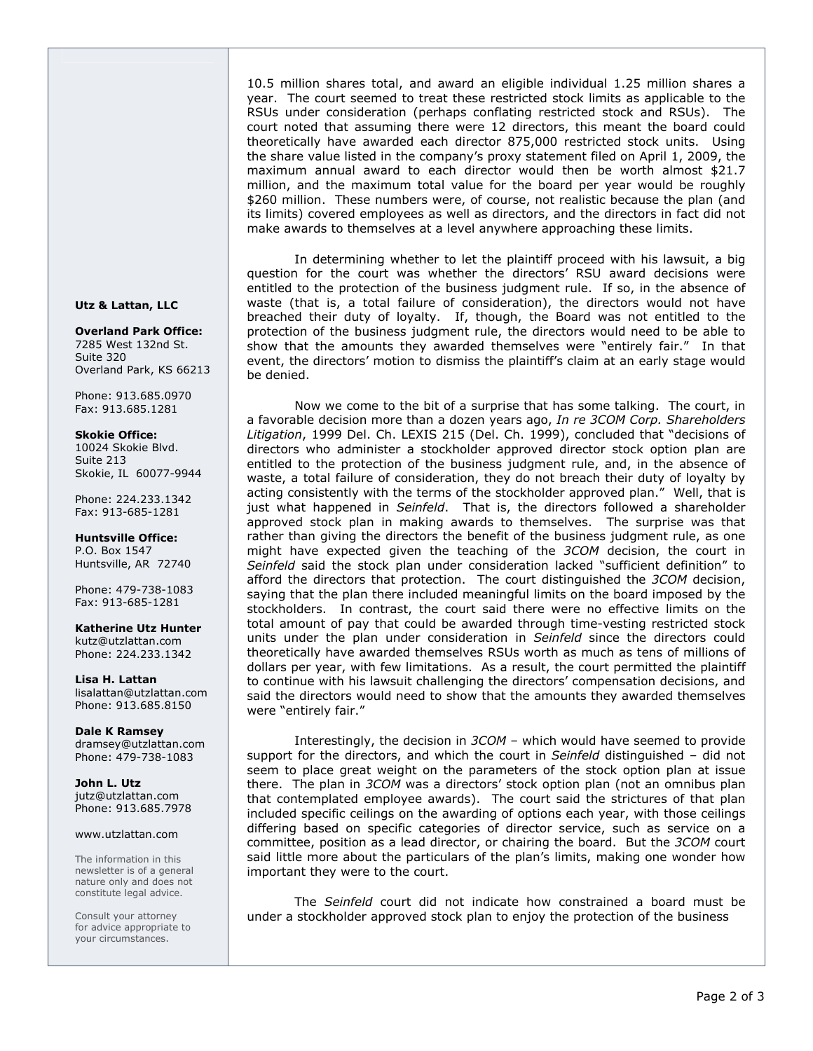10.5 million shares total, and award an eligible individual 1.25 million shares a year. The court seemed to treat these restricted stock limits as applicable to the RSUs under consideration (perhaps conflating restricted stock and RSUs). The court noted that assuming there were 12 directors, this meant the board could theoretically have awarded each director 875,000 restricted stock units. Using the share value listed in the company's proxy statement filed on April 1, 2009, the maximum annual award to each director would then be worth almost \$21.7 million, and the maximum total value for the board per year would be roughly \$260 million. These numbers were, of course, not realistic because the plan (and its limits) covered employees as well as directors, and the directors in fact did not make awards to themselves at a level anywhere approaching these limits.

In determining whether to let the plaintiff proceed with his lawsuit, a big question for the court was whether the directors' RSU award decisions were entitled to the protection of the business judgment rule. If so, in the absence of waste (that is, a total failure of consideration), the directors would not have breached their duty of loyalty. If, though, the Board was not entitled to the protection of the business judgment rule, the directors would need to be able to show that the amounts they awarded themselves were "entirely fair." In that event, the directors' motion to dismiss the plaintiff's claim at an early stage would be denied.

Now we come to the bit of a surprise that has some talking. The court, in a favorable decision more than a dozen years ago, In re 3COM Corp. Shareholders Litigation, 1999 Del. Ch. LEXIS 215 (Del. Ch. 1999), concluded that "decisions of directors who administer a stockholder approved director stock option plan are entitled to the protection of the business judgment rule, and, in the absence of waste, a total failure of consideration, they do not breach their duty of loyalty by acting consistently with the terms of the stockholder approved plan." Well, that is just what happened in Seinfeld. That is, the directors followed a shareholder approved stock plan in making awards to themselves. The surprise was that rather than giving the directors the benefit of the business judgment rule, as one might have expected given the teaching of the 3COM decision, the court in Seinfeld said the stock plan under consideration lacked "sufficient definition" to afford the directors that protection. The court distinguished the 3COM decision, saying that the plan there included meaningful limits on the board imposed by the stockholders. In contrast, the court said there were no effective limits on the total amount of pay that could be awarded through time-vesting restricted stock units under the plan under consideration in Seinfeld since the directors could theoretically have awarded themselves RSUs worth as much as tens of millions of dollars per year, with few limitations. As a result, the court permitted the plaintiff to continue with his lawsuit challenging the directors' compensation decisions, and said the directors would need to show that the amounts they awarded themselves were "entirely fair."

Interestingly, the decision in 3COM – which would have seemed to provide support for the directors, and which the court in Seinfeld distinguished  $-$  did not seem to place great weight on the parameters of the stock option plan at issue there. The plan in 3COM was a directors' stock option plan (not an omnibus plan that contemplated employee awards). The court said the strictures of that plan included specific ceilings on the awarding of options each year, with those ceilings differing based on specific categories of director service, such as service on a committee, position as a lead director, or chairing the board. But the 3COM court said little more about the particulars of the plan's limits, making one wonder how important they were to the court.

The Seinfeld court did not indicate how constrained a board must be under a stockholder approved stock plan to enjoy the protection of the business

### Utz & Lattan, LLC

Overland Park Office: 7285 West 132nd St. Suite 320 Overland Park, KS 66213

Phone: 913.685.0970 Fax: 913.685.1281

### Skokie Office:

10024 Skokie Blvd. Suite 213 Skokie, IL 60077-9944

Phone: 224.233.1342 Fax: 913-685-1281

Huntsville Office: P.O. Box 1547 Huntsville, AR 72740

Phone: 479-738-1083 Fax: 913-685-1281

Katherine Utz Hunter kutz@utzlattan.com Phone: 224.233.1342

Lisa H. Lattan lisalattan@utzlattan.com Phone: 913.685.8150

Dale K Ramsey dramsey@utzlattan.com Phone: 479-738-1083

John L. Utz jutz@utzlattan.com Phone: 913.685.7978

## www.utzlattan.com

The information in this newsletter is of a general nature only and does not constitute legal advice.

Consult your attorney for advice appropriate to your circumstances.